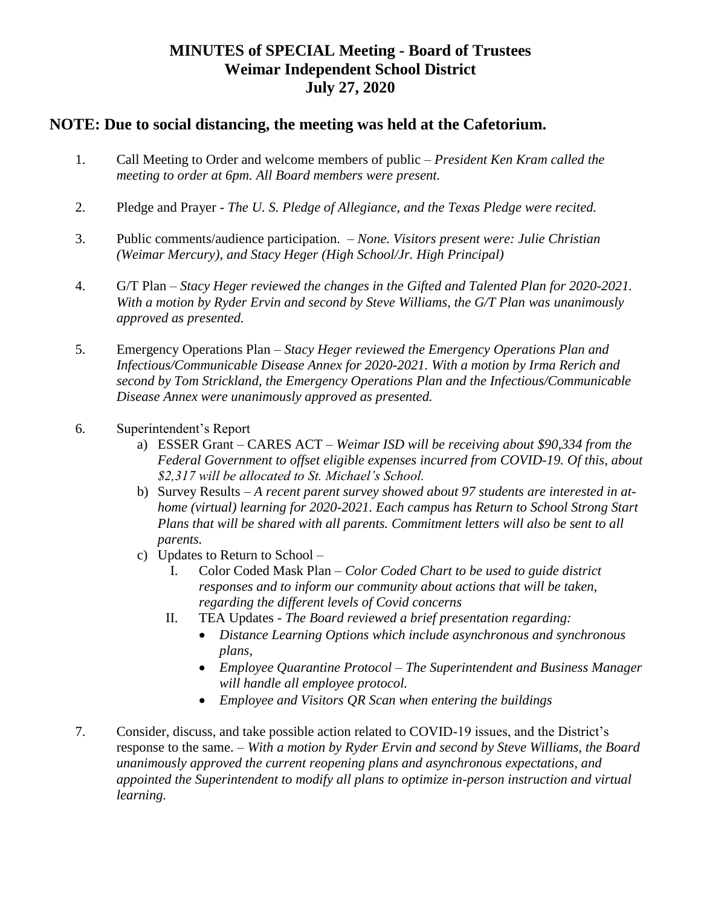## **MINUTES of SPECIAL Meeting - Board of Trustees Weimar Independent School District July 27, 2020**

## **NOTE: Due to social distancing, the meeting was held at the Cafetorium.**

- 1. Call Meeting to Order and welcome members of public *President Ken Kram called the meeting to order at 6pm. All Board members were present.*
- 2. Pledge and Prayer *The U. S. Pledge of Allegiance, and the Texas Pledge were recited.*
- 3. Public comments/audience participation. *None. Visitors present were: Julie Christian (Weimar Mercury), and Stacy Heger (High School/Jr. High Principal)*
- 4. G/T Plan *Stacy Heger reviewed the changes in the Gifted and Talented Plan for 2020-2021. With a motion by Ryder Ervin and second by Steve Williams, the G/T Plan was unanimously approved as presented.*
- 5. Emergency Operations Plan *Stacy Heger reviewed the Emergency Operations Plan and Infectious/Communicable Disease Annex for 2020-2021. With a motion by Irma Rerich and second by Tom Strickland, the Emergency Operations Plan and the Infectious/Communicable Disease Annex were unanimously approved as presented.*
- 6. Superintendent's Report
	- a) ESSER Grant CARES ACT *Weimar ISD will be receiving about \$90,334 from the Federal Government to offset eligible expenses incurred from COVID-19. Of this, about \$2,317 will be allocated to St. Michael's School.*
	- b) Survey Results *A recent parent survey showed about 97 students are interested in athome (virtual) learning for 2020-2021. Each campus has Return to School Strong Start Plans that will be shared with all parents. Commitment letters will also be sent to all parents.*
	- c) Updates to Return to School
		- I. Color Coded Mask Plan *Color Coded Chart to be used to guide district responses and to inform our community about actions that will be taken, regarding the different levels of Covid concerns*
		- II. TEA Updates *The Board reviewed a brief presentation regarding:*
			- *Distance Learning Options which include asynchronous and synchronous plans,*
			- *Employee Quarantine Protocol – The Superintendent and Business Manager will handle all employee protocol.*
			- *Employee and Visitors QR Scan when entering the buildings*
- 7. Consider, discuss, and take possible action related to COVID-19 issues, and the District's response to the same. – *With a motion by Ryder Ervin and second by Steve Williams, the Board unanimously approved the current reopening plans and asynchronous expectations, and appointed the Superintendent to modify all plans to optimize in-person instruction and virtual learning.*